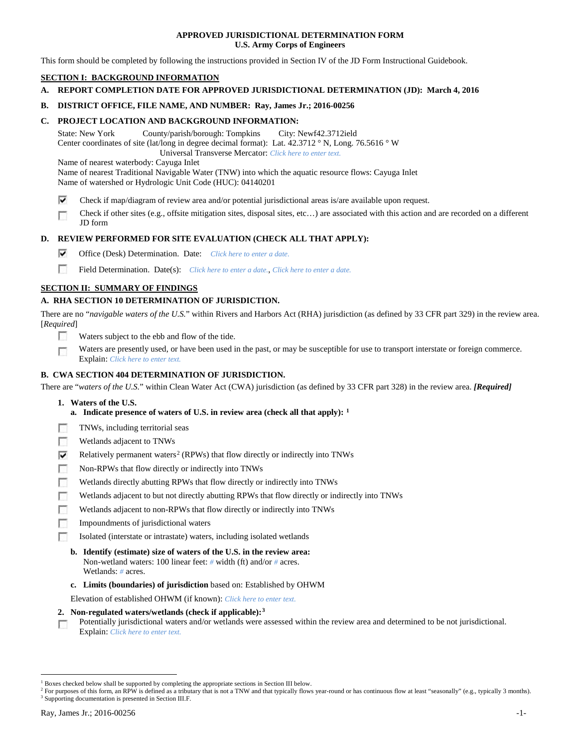### **APPROVED JURISDICTIONAL DETERMINATION FORM U.S. Army Corps of Engineers**

This form should be completed by following the instructions provided in Section IV of the JD Form Instructional Guidebook.

## **SECTION I: BACKGROUND INFORMATION**

**A. REPORT COMPLETION DATE FOR APPROVED JURISDICTIONAL DETERMINATION (JD): March 4, 2016**

### **B. DISTRICT OFFICE, FILE NAME, AND NUMBER: Ray, James Jr.; 2016-00256**

### **C. PROJECT LOCATION AND BACKGROUND INFORMATION:**

State: New York County/parish/borough: Tompkins City: Newf42.3712ield Center coordinates of site (lat/long in degree decimal format): Lat. 42.3712 ° N, Long. 76.5616 ° W Universal Transverse Mercator: *Click here to enter text.*

Name of nearest waterbody: Cayuga Inlet

Name of nearest Traditional Navigable Water (TNW) into which the aquatic resource flows: Cayuga Inlet Name of watershed or Hydrologic Unit Code (HUC): 04140201

- ⊽ Check if map/diagram of review area and/or potential jurisdictional areas is/are available upon request.
- Check if other sites (e.g., offsite mitigation sites, disposal sites, etc…) are associated with this action and are recorded on a different г JD form

## **D. REVIEW PERFORMED FOR SITE EVALUATION (CHECK ALL THAT APPLY):**

- ⊽ Office (Desk) Determination. Date: *Click here to enter a date.*
- m Field Determination. Date(s): *Click here to enter a date.*, *Click here to enter a date.*

## **SECTION II: SUMMARY OF FINDINGS**

## **A. RHA SECTION 10 DETERMINATION OF JURISDICTION.**

There are no "*navigable waters of the U.S.*" within Rivers and Harbors Act (RHA) jurisdiction (as defined by 33 CFR part 329) in the review area. [*Required*]

- n Waters subject to the ebb and flow of the tide.
- Waters are presently used, or have been used in the past, or may be susceptible for use to transport interstate or foreign commerce. п Explain: *Click here to enter text.*

## **B. CWA SECTION 404 DETERMINATION OF JURISDICTION.**

There are "*waters of the U.S.*" within Clean Water Act (CWA) jurisdiction (as defined by 33 CFR part 328) in the review area. *[Required]*

- **1. Waters of the U.S.**
	- **a. Indicate presence of waters of U.S. in review area (check all that apply): [1](#page-0-0)**
- Е TNWs, including territorial seas
- п Wetlands adjacent to TNWs
- Relatively permanent waters<sup>[2](#page-0-1)</sup> (RPWs) that flow directly or indirectly into TNWs ⊽
- г Non-RPWs that flow directly or indirectly into TNWs
- п Wetlands directly abutting RPWs that flow directly or indirectly into TNWs
- Wetlands adjacent to but not directly abutting RPWs that flow directly or indirectly into TNWs г
- Wetlands adjacent to non-RPWs that flow directly or indirectly into TNWs г
- п Impoundments of jurisdictional waters
- Isolated (interstate or intrastate) waters, including isolated wetlands n.
	- **b. Identify (estimate) size of waters of the U.S. in the review area:** Non-wetland waters: 100 linear feet: *#* width (ft) and/or *#* acres. Wetlands: *#* acres.
	- **c. Limits (boundaries) of jurisdiction** based on: Established by OHWM

Elevation of established OHWM (if known): *Click here to enter text.*

- **2. Non-regulated waters/wetlands (check if applicable):[3](#page-0-2)**
- Potentially jurisdictional waters and/or wetlands were assessed within the review area and determined to be not jurisdictional. п Explain: *Click here to enter text.*

<span id="page-0-0"></span><sup>&</sup>lt;sup>1</sup> Boxes checked below shall be supported by completing the appropriate sections in Section III below.

<span id="page-0-2"></span><span id="page-0-1"></span><sup>&</sup>lt;sup>2</sup> For purposes of this form, an RPW is defined as a tributary that is not a TNW and that typically flows year-round or has continuous flow at least "seasonally" (e.g., typically 3 months). <sup>3</sup> Supporting documentation is presented in Section III.F.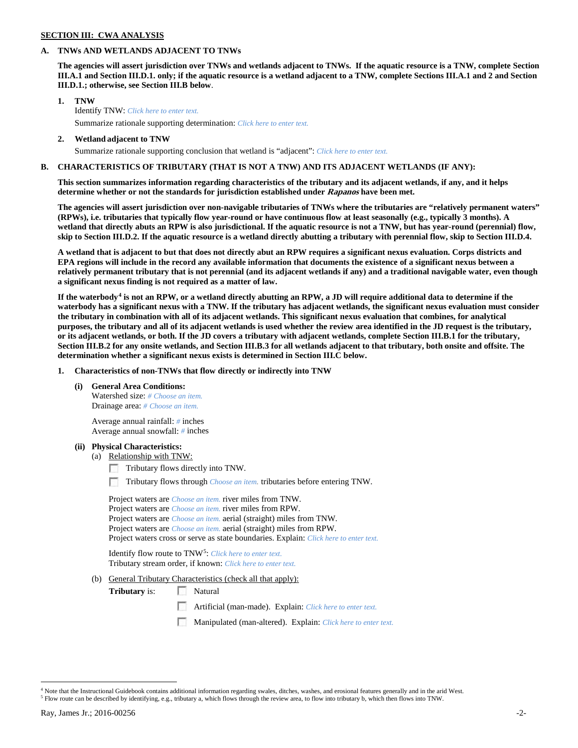## **SECTION III: CWA ANALYSIS**

### **A. TNWs AND WETLANDS ADJACENT TO TNWs**

**The agencies will assert jurisdiction over TNWs and wetlands adjacent to TNWs. If the aquatic resource is a TNW, complete Section III.A.1 and Section III.D.1. only; if the aquatic resource is a wetland adjacent to a TNW, complete Sections III.A.1 and 2 and Section III.D.1.; otherwise, see Section III.B below**.

- **1. TNW**  Identify TNW: *Click here to enter text.*
	- Summarize rationale supporting determination: *Click here to enter text.*
- **2. Wetland adjacent to TNW** Summarize rationale supporting conclusion that wetland is "adjacent": *Click here to enter text.*

## **B. CHARACTERISTICS OF TRIBUTARY (THAT IS NOT A TNW) AND ITS ADJACENT WETLANDS (IF ANY):**

**This section summarizes information regarding characteristics of the tributary and its adjacent wetlands, if any, and it helps determine whether or not the standards for jurisdiction established under Rapanos have been met.** 

**The agencies will assert jurisdiction over non-navigable tributaries of TNWs where the tributaries are "relatively permanent waters" (RPWs), i.e. tributaries that typically flow year-round or have continuous flow at least seasonally (e.g., typically 3 months). A wetland that directly abuts an RPW is also jurisdictional. If the aquatic resource is not a TNW, but has year-round (perennial) flow, skip to Section III.D.2. If the aquatic resource is a wetland directly abutting a tributary with perennial flow, skip to Section III.D.4.**

**A wetland that is adjacent to but that does not directly abut an RPW requires a significant nexus evaluation. Corps districts and EPA regions will include in the record any available information that documents the existence of a significant nexus between a relatively permanent tributary that is not perennial (and its adjacent wetlands if any) and a traditional navigable water, even though a significant nexus finding is not required as a matter of law.**

**If the waterbody[4](#page-1-0) is not an RPW, or a wetland directly abutting an RPW, a JD will require additional data to determine if the waterbody has a significant nexus with a TNW. If the tributary has adjacent wetlands, the significant nexus evaluation must consider the tributary in combination with all of its adjacent wetlands. This significant nexus evaluation that combines, for analytical purposes, the tributary and all of its adjacent wetlands is used whether the review area identified in the JD request is the tributary, or its adjacent wetlands, or both. If the JD covers a tributary with adjacent wetlands, complete Section III.B.1 for the tributary, Section III.B.2 for any onsite wetlands, and Section III.B.3 for all wetlands adjacent to that tributary, both onsite and offsite. The determination whether a significant nexus exists is determined in Section III.C below.**

**1. Characteristics of non-TNWs that flow directly or indirectly into TNW**

**(i) General Area Conditions:**

Watershed size: *# Choose an item.* Drainage area: *# Choose an item.*

Average annual rainfall: *#* inches Average annual snowfall: *#* inches

### **(ii) Physical Characteristics:**

- (a) Relationship with TNW:
	- Tributary flows directly into TNW.

Tributary flows through *Choose an item.* tributaries before entering TNW.

Project waters are *Choose an item.* river miles from TNW. Project waters are *Choose an item.* river miles from RPW. Project waters are *Choose an item.* aerial (straight) miles from TNW. Project waters are *Choose an item.* aerial (straight) miles from RPW. Project waters cross or serve as state boundaries. Explain: *Click here to enter text.*

Identify flow route to TNW[5:](#page-1-1) *Click here to enter text.* Tributary stream order, if known: *Click here to enter text.*

(b) General Tributary Characteristics (check all that apply):

**Tributary** is: Natural

- Artificial (man-made). Explain: *Click here to enter text.*
- Manipulated (man-altered). Explain: *Click here to enter text.*

<span id="page-1-0"></span><sup>&</sup>lt;sup>4</sup> Note that the Instructional Guidebook contains additional information regarding swales, ditches, washes, and erosional features generally and in the arid West.

<span id="page-1-1"></span><sup>5</sup> Flow route can be described by identifying, e.g., tributary a, which flows through the review area, to flow into tributary b, which then flows into TNW.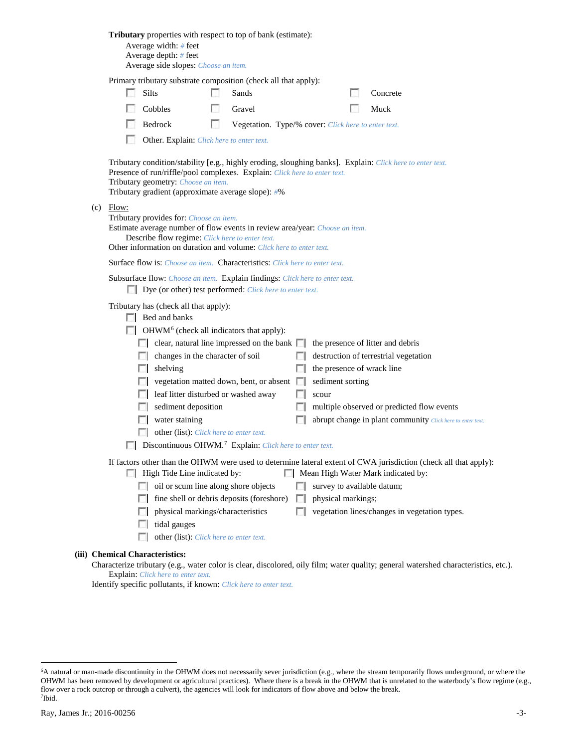|     |                                                                                                                                                                                                                                                                                                                                                                                                                                                                                                                                                  | <b>Tributary</b> properties with respect to top of bank (estimate):<br>Average width: # feet<br>Average depth: # feet<br>Average side slopes: Choose an item.                                                                                                        |  |                                                     |              |                                   |  |                                                                                                                                     |  |  |  |  |  |
|-----|--------------------------------------------------------------------------------------------------------------------------------------------------------------------------------------------------------------------------------------------------------------------------------------------------------------------------------------------------------------------------------------------------------------------------------------------------------------------------------------------------------------------------------------------------|----------------------------------------------------------------------------------------------------------------------------------------------------------------------------------------------------------------------------------------------------------------------|--|-----------------------------------------------------|--------------|-----------------------------------|--|-------------------------------------------------------------------------------------------------------------------------------------|--|--|--|--|--|
|     | Primary tributary substrate composition (check all that apply):                                                                                                                                                                                                                                                                                                                                                                                                                                                                                  |                                                                                                                                                                                                                                                                      |  |                                                     |              |                                   |  |                                                                                                                                     |  |  |  |  |  |
|     |                                                                                                                                                                                                                                                                                                                                                                                                                                                                                                                                                  | Silts                                                                                                                                                                                                                                                                |  | Sands                                               |              |                                   |  | Concrete                                                                                                                            |  |  |  |  |  |
|     |                                                                                                                                                                                                                                                                                                                                                                                                                                                                                                                                                  | Cobbles                                                                                                                                                                                                                                                              |  | Gravel                                              |              |                                   |  | Muck                                                                                                                                |  |  |  |  |  |
|     |                                                                                                                                                                                                                                                                                                                                                                                                                                                                                                                                                  | Bedrock                                                                                                                                                                                                                                                              |  | Vegetation. Type/% cover: Click here to enter text. |              |                                   |  |                                                                                                                                     |  |  |  |  |  |
|     | Other. Explain: Click here to enter text.                                                                                                                                                                                                                                                                                                                                                                                                                                                                                                        |                                                                                                                                                                                                                                                                      |  |                                                     |              |                                   |  |                                                                                                                                     |  |  |  |  |  |
| (c) | Tributary condition/stability [e.g., highly eroding, sloughing banks]. Explain: Click here to enter text.<br>Presence of run/riffle/pool complexes. Explain: Click here to enter text.<br>Tributary geometry: Choose an item.<br>Tributary gradient (approximate average slope): #%<br>Flow:<br>Tributary provides for: Choose an item.<br>Estimate average number of flow events in review area/year: Choose an item.<br>Describe flow regime: Click here to enter text.<br>Other information on duration and volume: Click here to enter text. |                                                                                                                                                                                                                                                                      |  |                                                     |              |                                   |  |                                                                                                                                     |  |  |  |  |  |
|     |                                                                                                                                                                                                                                                                                                                                                                                                                                                                                                                                                  |                                                                                                                                                                                                                                                                      |  |                                                     |              |                                   |  |                                                                                                                                     |  |  |  |  |  |
|     |                                                                                                                                                                                                                                                                                                                                                                                                                                                                                                                                                  |                                                                                                                                                                                                                                                                      |  |                                                     |              |                                   |  |                                                                                                                                     |  |  |  |  |  |
|     | <b>Surface flow is:</b> Choose an item. <b>Characteristics:</b> Click here to enter text.<br>Subsurface flow: Choose an item. Explain findings: Click here to enter text.<br>Dye (or other) test performed: Click here to enter text.                                                                                                                                                                                                                                                                                                            |                                                                                                                                                                                                                                                                      |  |                                                     |              |                                   |  |                                                                                                                                     |  |  |  |  |  |
|     | Tributary has (check all that apply):<br>$\Box$ Bed and banks<br>$\Box$ OHWM <sup>6</sup> (check all indicators that apply):                                                                                                                                                                                                                                                                                                                                                                                                                     |                                                                                                                                                                                                                                                                      |  |                                                     |              |                                   |  |                                                                                                                                     |  |  |  |  |  |
|     |                                                                                                                                                                                                                                                                                                                                                                                                                                                                                                                                                  | $\Box$ clear, natural line impressed on the bank $\Box$                                                                                                                                                                                                              |  |                                                     |              | the presence of litter and debris |  |                                                                                                                                     |  |  |  |  |  |
|     |                                                                                                                                                                                                                                                                                                                                                                                                                                                                                                                                                  | changes in the character of soil<br><b>Allen</b>                                                                                                                                                                                                                     |  |                                                     |              |                                   |  | destruction of terrestrial vegetation                                                                                               |  |  |  |  |  |
|     |                                                                                                                                                                                                                                                                                                                                                                                                                                                                                                                                                  | shelving                                                                                                                                                                                                                                                             |  |                                                     | <b>Fill</b>  | the presence of wrack line        |  |                                                                                                                                     |  |  |  |  |  |
|     |                                                                                                                                                                                                                                                                                                                                                                                                                                                                                                                                                  |                                                                                                                                                                                                                                                                      |  | vegetation matted down, bent, or absent             |              | sediment sorting                  |  |                                                                                                                                     |  |  |  |  |  |
|     |                                                                                                                                                                                                                                                                                                                                                                                                                                                                                                                                                  | leaf litter disturbed or washed away                                                                                                                                                                                                                                 |  |                                                     |              | scour                             |  |                                                                                                                                     |  |  |  |  |  |
|     |                                                                                                                                                                                                                                                                                                                                                                                                                                                                                                                                                  | sediment deposition<br><b>COLLEGE</b>                                                                                                                                                                                                                                |  |                                                     | L.           |                                   |  | multiple observed or predicted flow events                                                                                          |  |  |  |  |  |
|     |                                                                                                                                                                                                                                                                                                                                                                                                                                                                                                                                                  | water staining                                                                                                                                                                                                                                                       |  |                                                     |              |                                   |  | abrupt change in plant community Click here to enter text.                                                                          |  |  |  |  |  |
|     |                                                                                                                                                                                                                                                                                                                                                                                                                                                                                                                                                  | other (list): Click here to enter text.                                                                                                                                                                                                                              |  |                                                     |              |                                   |  |                                                                                                                                     |  |  |  |  |  |
|     |                                                                                                                                                                                                                                                                                                                                                                                                                                                                                                                                                  | $\Box$ Discontinuous OHWM. <sup>7</sup> Explain: Click here to enter text.<br>If factors other than the OHWM were used to determine lateral extent of CWA jurisdiction (check all that apply):<br>High Tide Line indicated by:<br>Mean High Water Mark indicated by: |  |                                                     |              |                                   |  |                                                                                                                                     |  |  |  |  |  |
|     |                                                                                                                                                                                                                                                                                                                                                                                                                                                                                                                                                  | oil or scum line along shore objects                                                                                                                                                                                                                                 |  |                                                     |              | survey to available datum;        |  |                                                                                                                                     |  |  |  |  |  |
|     |                                                                                                                                                                                                                                                                                                                                                                                                                                                                                                                                                  |                                                                                                                                                                                                                                                                      |  | fine shell or debris deposits (foreshore)           | <b>I</b> and | physical markings;                |  |                                                                                                                                     |  |  |  |  |  |
|     |                                                                                                                                                                                                                                                                                                                                                                                                                                                                                                                                                  | physical markings/characteristics                                                                                                                                                                                                                                    |  |                                                     |              |                                   |  | vegetation lines/changes in vegetation types.                                                                                       |  |  |  |  |  |
|     |                                                                                                                                                                                                                                                                                                                                                                                                                                                                                                                                                  | tidal gauges                                                                                                                                                                                                                                                         |  |                                                     |              |                                   |  |                                                                                                                                     |  |  |  |  |  |
|     |                                                                                                                                                                                                                                                                                                                                                                                                                                                                                                                                                  | other (list): Click here to enter text.<br><b>COL</b>                                                                                                                                                                                                                |  |                                                     |              |                                   |  |                                                                                                                                     |  |  |  |  |  |
|     |                                                                                                                                                                                                                                                                                                                                                                                                                                                                                                                                                  | (iii) Chemical Characteristics:                                                                                                                                                                                                                                      |  |                                                     |              |                                   |  | Characterize tributary (e.g., water color is clear, discolored, oily film; water quality; general watershed characteristics, etc.). |  |  |  |  |  |

Explain: *Click here to enter text.*

Identify specific pollutants, if known: *Click here to enter text.*

<span id="page-2-1"></span><span id="page-2-0"></span> <sup>6</sup> <sup>6</sup>A natural or man-made discontinuity in the OHWM does not necessarily sever jurisdiction (e.g., where the stream temporarily flows underground, or where the OHWM has been removed by development or agricultural practices). Where there is a break in the OHWM that is unrelated to the waterbody's flow regime (e.g., flow over a rock outcrop or through a culvert), the agencies will look for indicators of flow above and below the break. 7 Ibid.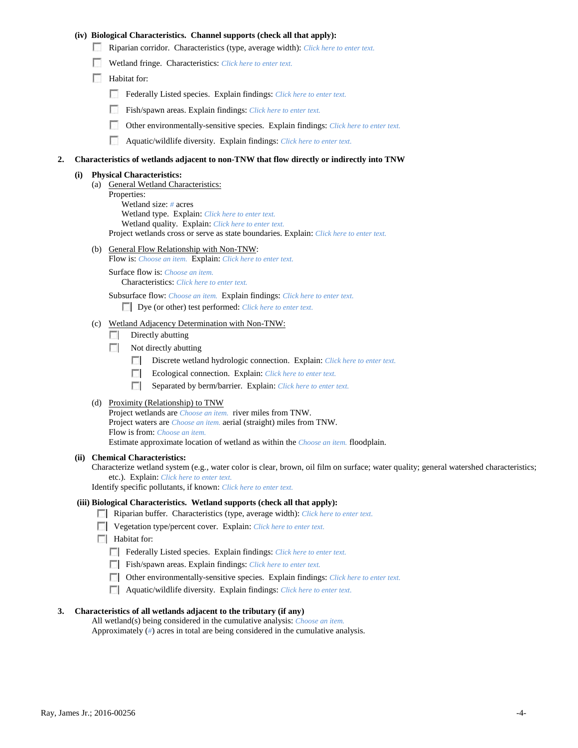### **(iv) Biological Characteristics. Channel supports (check all that apply):**

- Riparian corridor. Characteristics (type, average width): *Click here to enter text.*
- Wetland fringe. Characteristics: *Click here to enter text.*
- Habitat for:
	- Federally Listed species. Explain findings: *Click here to enter text.*
	- Fish/spawn areas. Explain findings: *Click here to enter text.*
	- Other environmentally-sensitive species. Explain findings: *Click here to enter text.* п.
	- n Aquatic/wildlife diversity. Explain findings: *Click here to enter text.*

#### **2. Characteristics of wetlands adjacent to non-TNW that flow directly or indirectly into TNW**

#### **(i) Physical Characteristics:**

- (a) General Wetland Characteristics:
	- Properties:

Wetland size: *#* acres Wetland type. Explain: *Click here to enter text.*

Wetland quality. Explain: *Click here to enter text.*

Project wetlands cross or serve as state boundaries. Explain: *Click here to enter text.*

(b) General Flow Relationship with Non-TNW: Flow is: *Choose an item.* Explain: *Click here to enter text.*

Surface flow is: *Choose an item.* Characteristics: *Click here to enter text.*

Subsurface flow: *Choose an item.* Explain findings: *Click here to enter text.*

Dye (or other) test performed: *Click here to enter text.*

#### (c) Wetland Adjacency Determination with Non-TNW:

- $\Box$  Directly abutting
- Not directly abutting
	- 100 Discrete wetland hydrologic connection. Explain: *Click here to enter text.*
	- Ecological connection. Explain: *Click here to enter text.* **The Contract of the Contract of the Contract of the Contract of the Contract of the Contract of the Contract of the Contract of the Contract of the Contract of the Contract of the Contract of the Contract of the Contract**
	- $\sim$ Separated by berm/barrier. Explain: *Click here to enter text.*
- (d) Proximity (Relationship) to TNW

Project wetlands are *Choose an item.* river miles from TNW. Project waters are *Choose an item.* aerial (straight) miles from TNW. Flow is from: *Choose an item.* Estimate approximate location of wetland as within the *Choose an item.* floodplain.

#### **(ii) Chemical Characteristics:**

Characterize wetland system (e.g., water color is clear, brown, oil film on surface; water quality; general watershed characteristics; etc.). Explain: *Click here to enter text.*

Identify specific pollutants, if known: *Click here to enter text.*

#### **(iii) Biological Characteristics. Wetland supports (check all that apply):**

- Riparian buffer. Characteristics (type, average width): *Click here to enter text.*
- Vegetation type/percent cover. Explain: *Click here to enter text.*
- $\Box$  Habitat for:
	- Federally Listed species. Explain findings: *Click here to enter text*.
	- Fish/spawn areas. Explain findings: *Click here to enter text*.
	- Other environmentally-sensitive species. Explain findings: *Click here to enter text.*
	- Aquatic/wildlife diversity. Explain findings: *Click here to enter text.*

#### **3. Characteristics of all wetlands adjacent to the tributary (if any)**

All wetland(s) being considered in the cumulative analysis: *Choose an item.* Approximately (*#*) acres in total are being considered in the cumulative analysis.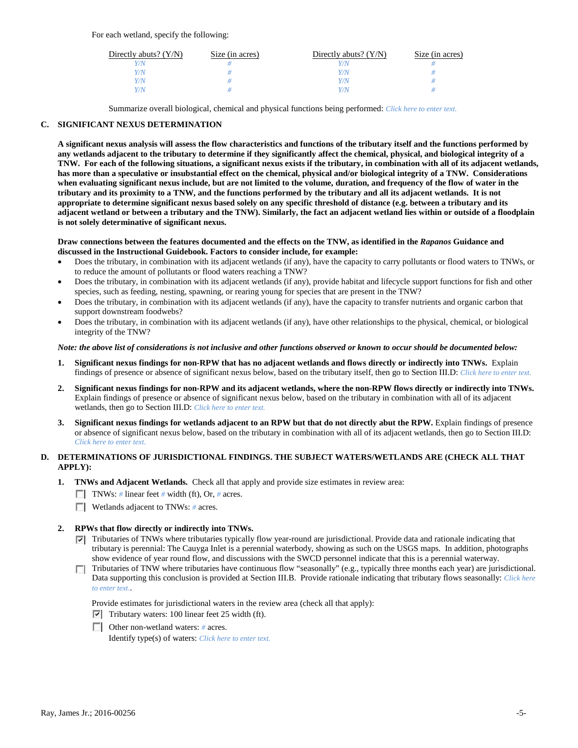For each wetland, specify the following:

| Directly abuts? $(Y/N)$ | Size (in acres) | Directly abuts? $(Y/N)$ | Size (in acres) |
|-------------------------|-----------------|-------------------------|-----------------|
|                         |                 |                         |                 |
| V/N                     |                 | Y/N                     |                 |
| V/N                     |                 | Y/N                     |                 |
|                         |                 | Y/N                     |                 |

Summarize overall biological, chemical and physical functions being performed: *Click here to enter text.*

## **C. SIGNIFICANT NEXUS DETERMINATION**

**A significant nexus analysis will assess the flow characteristics and functions of the tributary itself and the functions performed by any wetlands adjacent to the tributary to determine if they significantly affect the chemical, physical, and biological integrity of a TNW. For each of the following situations, a significant nexus exists if the tributary, in combination with all of its adjacent wetlands, has more than a speculative or insubstantial effect on the chemical, physical and/or biological integrity of a TNW. Considerations when evaluating significant nexus include, but are not limited to the volume, duration, and frequency of the flow of water in the tributary and its proximity to a TNW, and the functions performed by the tributary and all its adjacent wetlands. It is not appropriate to determine significant nexus based solely on any specific threshold of distance (e.g. between a tributary and its adjacent wetland or between a tributary and the TNW). Similarly, the fact an adjacent wetland lies within or outside of a floodplain is not solely determinative of significant nexus.** 

### **Draw connections between the features documented and the effects on the TNW, as identified in the** *Rapanos* **Guidance and discussed in the Instructional Guidebook. Factors to consider include, for example:**

- Does the tributary, in combination with its adjacent wetlands (if any), have the capacity to carry pollutants or flood waters to TNWs, or to reduce the amount of pollutants or flood waters reaching a TNW?
- Does the tributary, in combination with its adjacent wetlands (if any), provide habitat and lifecycle support functions for fish and other species, such as feeding, nesting, spawning, or rearing young for species that are present in the TNW?
- Does the tributary, in combination with its adjacent wetlands (if any), have the capacity to transfer nutrients and organic carbon that support downstream foodwebs?
- Does the tributary, in combination with its adjacent wetlands (if any), have other relationships to the physical, chemical, or biological integrity of the TNW?

### *Note: the above list of considerations is not inclusive and other functions observed or known to occur should be documented below:*

- **1. Significant nexus findings for non-RPW that has no adjacent wetlands and flows directly or indirectly into TNWs.** Explain findings of presence or absence of significant nexus below, based on the tributary itself, then go to Section III.D: *Click here to enter text.*
- **2. Significant nexus findings for non-RPW and its adjacent wetlands, where the non-RPW flows directly or indirectly into TNWs.**  Explain findings of presence or absence of significant nexus below, based on the tributary in combination with all of its adjacent wetlands, then go to Section III.D: *Click here to enter text.*
- **3. Significant nexus findings for wetlands adjacent to an RPW but that do not directly abut the RPW.** Explain findings of presence or absence of significant nexus below, based on the tributary in combination with all of its adjacent wetlands, then go to Section III.D: *Click here to enter text.*

## **D. DETERMINATIONS OF JURISDICTIONAL FINDINGS. THE SUBJECT WATERS/WETLANDS ARE (CHECK ALL THAT APPLY):**

- **1. TNWs and Adjacent Wetlands.** Check all that apply and provide size estimates in review area:
	- TNWs: *#* linear feet *#* width (ft), Or, *#* acres.
	- **Wetlands adjacent to TNWs: # acres.**

## **2. RPWs that flow directly or indirectly into TNWs.**

- $\nabla$  Tributaries of TNWs where tributaries typically flow year-round are jurisdictional. Provide data and rationale indicating that tributary is perennial: The Cauyga Inlet is a perennial waterbody, showing as such on the USGS maps. In addition, photographs show evidence of year round flow, and discussions with the SWCD personnel indicate that this is a perennial waterway.
- Tributaries of TNW where tributaries have continuous flow "seasonally" (e.g., typically three months each year) are jurisdictional. Data supporting this conclusion is provided at Section III.B. Provide rationale indicating that tributary flows seasonally: *Click here to enter text.*.

Provide estimates for jurisdictional waters in the review area (check all that apply):

- $\triangledown$  Tributary waters: 100 linear feet 25 width (ft).
- Other non-wetland waters: # acres.

Identify type(s) of waters: *Click here to enter text.*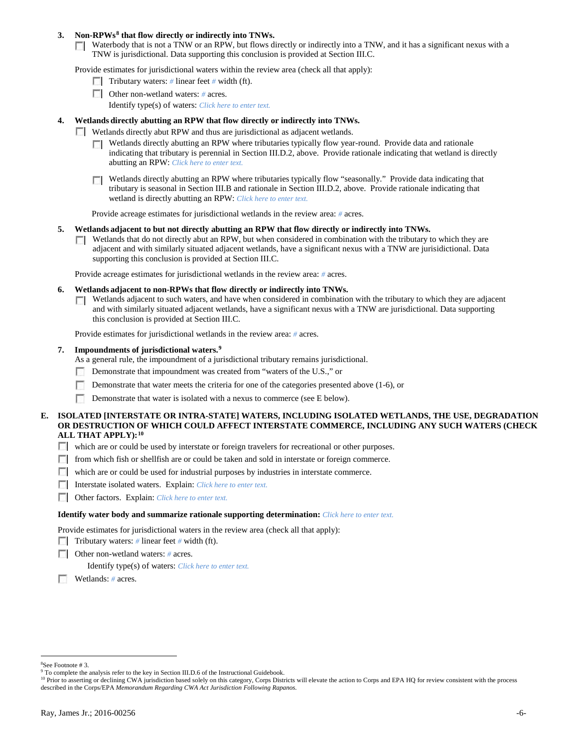### **3. Non-RPWs[8](#page-5-0) that flow directly or indirectly into TNWs.**

Waterbody that is not a TNW or an RPW, but flows directly or indirectly into a TNW, and it has a significant nexus with a TNW is jurisdictional. Data supporting this conclusion is provided at Section III.C.

Provide estimates for jurisdictional waters within the review area (check all that apply):

- **Tributary waters:** # linear feet # width (ft).
- Other non-wetland waters: *#* acres. Identify type(s) of waters: *Click here to enter text.*
- **4. Wetlands directly abutting an RPW that flow directly or indirectly into TNWs.**
	- **Wetlands directly abut RPW and thus are jurisdictional as adjacent wetlands.** 
		- $\Box$  Wetlands directly abutting an RPW where tributaries typically flow year-round. Provide data and rationale indicating that tributary is perennial in Section III.D.2, above. Provide rationale indicating that wetland is directly abutting an RPW: *Click here to enter text.*
		- Wetlands directly abutting an RPW where tributaries typically flow "seasonally." Provide data indicating that tributary is seasonal in Section III.B and rationale in Section III.D.2, above. Provide rationale indicating that wetland is directly abutting an RPW: *Click here to enter text.*

Provide acreage estimates for jurisdictional wetlands in the review area: *#* acres.

- **5. Wetlands adjacent to but not directly abutting an RPW that flow directly or indirectly into TNWs.**
	- $\Box$  Wetlands that do not directly abut an RPW, but when considered in combination with the tributary to which they are adjacent and with similarly situated adjacent wetlands, have a significant nexus with a TNW are jurisidictional. Data supporting this conclusion is provided at Section III.C.

Provide acreage estimates for jurisdictional wetlands in the review area: *#* acres.

- **6. Wetlands adjacent to non-RPWs that flow directly or indirectly into TNWs.** 
	- Wetlands adjacent to such waters, and have when considered in combination with the tributary to which they are adjacent Г. and with similarly situated adjacent wetlands, have a significant nexus with a TNW are jurisdictional. Data supporting this conclusion is provided at Section III.C.

Provide estimates for jurisdictional wetlands in the review area: *#* acres.

**7. Impoundments of jurisdictional waters. [9](#page-5-1)**

As a general rule, the impoundment of a jurisdictional tributary remains jurisdictional.

- Demonstrate that impoundment was created from "waters of the U.S.," or
- Demonstrate that water meets the criteria for one of the categories presented above (1-6), or
- n Demonstrate that water is isolated with a nexus to commerce (see E below).
- **E. ISOLATED [INTERSTATE OR INTRA-STATE] WATERS, INCLUDING ISOLATED WETLANDS, THE USE, DEGRADATION OR DESTRUCTION OF WHICH COULD AFFECT INTERSTATE COMMERCE, INCLUDING ANY SUCH WATERS (CHECK ALL THAT APPLY):[10](#page-5-2)**
	- which are or could be used by interstate or foreign travelers for recreational or other purposes.
	- from which fish or shellfish are or could be taken and sold in interstate or foreign commerce.
	- which are or could be used for industrial purposes by industries in interstate commerce.
	- Interstate isolated waters.Explain: *Click here to enter text.*
	- Other factors.Explain: *Click here to enter text.*

#### **Identify water body and summarize rationale supporting determination:** *Click here to enter text.*

Provide estimates for jurisdictional waters in the review area (check all that apply):

- Tributary waters: # linear feet # width (ft).
- Other non-wetland waters: *#* acres.

Identify type(s) of waters: *Click here to enter text.*

Wetlands: *#* acres.

 $\frac{1}{8}$ See Footnote # 3.

<span id="page-5-1"></span><span id="page-5-0"></span><sup>&</sup>lt;sup>9</sup> To complete the analysis refer to the key in Section III.D.6 of the Instructional Guidebook.

<span id="page-5-2"></span><sup>&</sup>lt;sup>10</sup> Prior to asserting or declining CWA jurisdiction based solely on this category, Corps Districts will elevate the action to Corps and EPA HQ for review consistent with the process described in the Corps/EPA *Memorandum Regarding CWA Act Jurisdiction Following Rapanos.*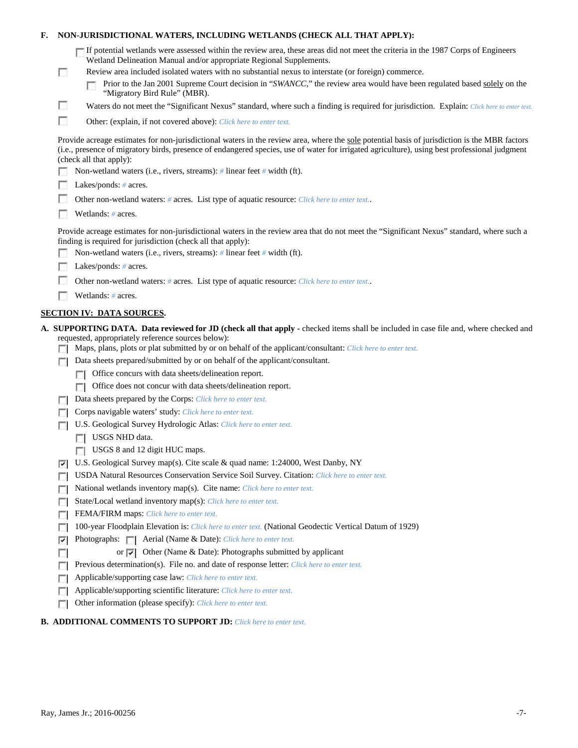| F. |                                                                                            | NON-JURISDICTIONAL WATERS, INCLUDING WETLANDS (CHECK ALL THAT APPLY):                                                                                                                                                                                                                                                     |  |  |  |  |  |
|----|--------------------------------------------------------------------------------------------|---------------------------------------------------------------------------------------------------------------------------------------------------------------------------------------------------------------------------------------------------------------------------------------------------------------------------|--|--|--|--|--|
|    |                                                                                            | If potential wetlands were assessed within the review area, these areas did not meet the criteria in the 1987 Corps of Engineers<br>Wetland Delineation Manual and/or appropriate Regional Supplements.                                                                                                                   |  |  |  |  |  |
|    | п                                                                                          | Review area included isolated waters with no substantial nexus to interstate (or foreign) commerce.<br>Prior to the Jan 2001 Supreme Court decision in "SWANCC," the review area would have been regulated based solely on the<br>"Migratory Bird Rule" (MBR).                                                            |  |  |  |  |  |
|    | L.                                                                                         | Waters do not meet the "Significant Nexus" standard, where such a finding is required for jurisdiction. Explain: Click here to enter text.                                                                                                                                                                                |  |  |  |  |  |
|    | г                                                                                          | Other: (explain, if not covered above): Click here to enter text.                                                                                                                                                                                                                                                         |  |  |  |  |  |
|    |                                                                                            | Provide acreage estimates for non-jurisdictional waters in the review area, where the sole potential basis of jurisdiction is the MBR factors<br>(i.e., presence of migratory birds, presence of endangered species, use of water for irrigated agriculture), using best professional judgment<br>(check all that apply): |  |  |  |  |  |
|    |                                                                                            | Non-wetland waters (i.e., rivers, streams): # linear feet # width (ft).                                                                                                                                                                                                                                                   |  |  |  |  |  |
|    |                                                                                            | Lakes/ponds: $# \, \text{acres.}$                                                                                                                                                                                                                                                                                         |  |  |  |  |  |
|    | Other non-wetland waters: # acres. List type of aquatic resource: Click here to enter text |                                                                                                                                                                                                                                                                                                                           |  |  |  |  |  |
|    | Wetlands: # acres.                                                                         |                                                                                                                                                                                                                                                                                                                           |  |  |  |  |  |
|    |                                                                                            | Provide acreage estimates for non-jurisdictional waters in the review area that do not meet the "Significant Nexus" standard, where such a<br>finding is required for jurisdiction (check all that apply):                                                                                                                |  |  |  |  |  |
|    |                                                                                            | Non-wetland waters (i.e., rivers, streams): $\#$ linear feet $\#$ width (ft).                                                                                                                                                                                                                                             |  |  |  |  |  |
|    |                                                                                            | Lakes/ponds: $# \, \text{acres.}$                                                                                                                                                                                                                                                                                         |  |  |  |  |  |
|    |                                                                                            | Other non-wetland waters: # acres. List type of aquatic resource: Click here to enter text                                                                                                                                                                                                                                |  |  |  |  |  |
|    |                                                                                            | Wetlands: # acres.                                                                                                                                                                                                                                                                                                        |  |  |  |  |  |
|    |                                                                                            | <b>SECTION IV: DATA SOURCES.</b>                                                                                                                                                                                                                                                                                          |  |  |  |  |  |
|    |                                                                                            | A. SUPPORTING DATA. Data reviewed for JD (check all that apply - checked items shall be included in case file and, where checked and<br>requested, appropriately reference sources below):<br>Maps, plans, plots or plat submitted by or on behalf of the applicant/consultant: Click here to enter text.                 |  |  |  |  |  |
|    |                                                                                            | Data sheets prepared/submitted by or on behalf of the applicant/consultant.                                                                                                                                                                                                                                               |  |  |  |  |  |
|    |                                                                                            | Office concurs with data sheets/delineation report.                                                                                                                                                                                                                                                                       |  |  |  |  |  |
|    |                                                                                            | Office does not concur with data sheets/delineation report.                                                                                                                                                                                                                                                               |  |  |  |  |  |
|    | $\sim$                                                                                     | Data sheets prepared by the Corps: Click here to enter text.                                                                                                                                                                                                                                                              |  |  |  |  |  |
|    |                                                                                            | Corps navigable waters' study: Click here to enter text.                                                                                                                                                                                                                                                                  |  |  |  |  |  |
|    |                                                                                            | U.S. Geological Survey Hydrologic Atlas: Click here to enter text.                                                                                                                                                                                                                                                        |  |  |  |  |  |
|    |                                                                                            | USGS NHD data.                                                                                                                                                                                                                                                                                                            |  |  |  |  |  |
|    |                                                                                            | USGS 8 and 12 digit HUC maps.                                                                                                                                                                                                                                                                                             |  |  |  |  |  |
|    | ⊽                                                                                          | U.S. Geological Survey map(s). Cite scale & quad name: 1:24000, West Danby, NY                                                                                                                                                                                                                                            |  |  |  |  |  |
|    | <b>COL</b>                                                                                 | USDA Natural Resources Conservation Service Soil Survey. Citation: Click here to enter text.                                                                                                                                                                                                                              |  |  |  |  |  |
|    | п                                                                                          | National wetlands inventory map(s). Cite name: Click here to enter text.                                                                                                                                                                                                                                                  |  |  |  |  |  |
|    | п                                                                                          | State/Local wetland inventory map(s): Click here to enter text.                                                                                                                                                                                                                                                           |  |  |  |  |  |
|    | п                                                                                          | FEMA/FIRM maps: Click here to enter text.                                                                                                                                                                                                                                                                                 |  |  |  |  |  |
|    | D                                                                                          | 100-year Floodplain Elevation is: Click here to enter text. (National Geodectic Vertical Datum of 1929)                                                                                                                                                                                                                   |  |  |  |  |  |
|    | ⊽                                                                                          | Photographs:     Aerial (Name & Date): Click here to enter text.                                                                                                                                                                                                                                                          |  |  |  |  |  |
|    | п                                                                                          | or $\overline{\smile}$ Other (Name & Date): Photographs submitted by applicant                                                                                                                                                                                                                                            |  |  |  |  |  |
|    | п                                                                                          | Previous determination(s). File no. and date of response letter: Click here to enter text.<br>Applicable/supporting case law: Click here to enter text.                                                                                                                                                                   |  |  |  |  |  |
|    | D<br>п                                                                                     | Applicable/supporting scientific literature: Click here to enter text.                                                                                                                                                                                                                                                    |  |  |  |  |  |
|    |                                                                                            | Other information (please specify): Click here to enter text.                                                                                                                                                                                                                                                             |  |  |  |  |  |
|    | п                                                                                          |                                                                                                                                                                                                                                                                                                                           |  |  |  |  |  |

# **B. ADDITIONAL COMMENTS TO SUPPORT JD:** *Click here to enter text.*